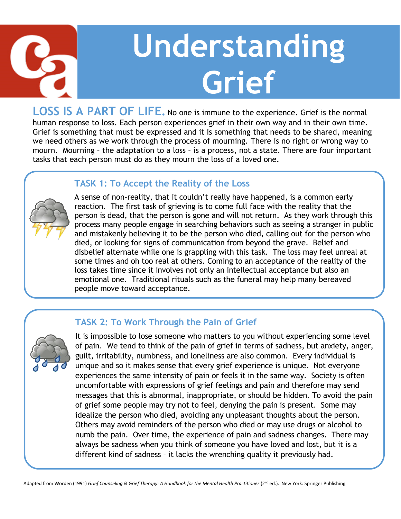

# **Understanding Grief**

LOSS IS A PART OF LIFE. No one is immune to the experience. Grief is the normal human response to loss. Each person experiences grief in their own way and in their own time. Grief is something that must be expressed and it is something that needs to be shared, meaning we need others as we work through the process of mourning. There is no right or wrong way to mourn. Mourning – the adaptation to a loss – is a process, not a state. There are four important tasks that each person must do as they mourn the loss of a loved one.

#### **TASK 1: To Accept the Reality of the Loss**



A sense of non-reality, that it couldn't really have happened, is a common early reaction. The first task of grieving is to come full face with the reality that the person is dead, that the person is gone and will not return. As they work through this process many people engage in searching behaviors such as seeing a stranger in public and mistakenly believing it to be the person who died, calling out for the person who died, or looking for signs of communication from beyond the grave. Belief and disbelief alternate while one is grappling with this task. The loss may feel unreal at some times and oh too real at others. Coming to an acceptance of the reality of the loss takes time since it involves not only an intellectual acceptance but also an emotional one. Traditional rituals such as the funeral may help many bereaved people move toward acceptance.

### **TASK 2: To Work Through the Pain of Grief**



It is impossible to lose someone who matters to you without experiencing some level of pain. We tend to think of the pain of grief in terms of sadness, but anxiety, anger, guilt, irritability, numbness, and loneliness are also common. Every individual is unique and so it makes sense that every grief experience is unique. Not everyone experiences the same intensity of pain or feels it in the same way. Society is often uncomfortable with expressions of grief feelings and pain and therefore may send messages that this is abnormal, inappropriate, or should be hidden. To avoid the pain of grief some people may try not to feel, denying the pain is present. Some may idealize the person who died, avoiding any unpleasant thoughts about the person. Others may avoid reminders of the person who died or may use drugs or alcohol to numb the pain. Over time, the experience of pain and sadness changes. There may always be sadness when you think of someone you have loved and lost, but it is a different kind of sadness – it lacks the wrenching quality it previously had.